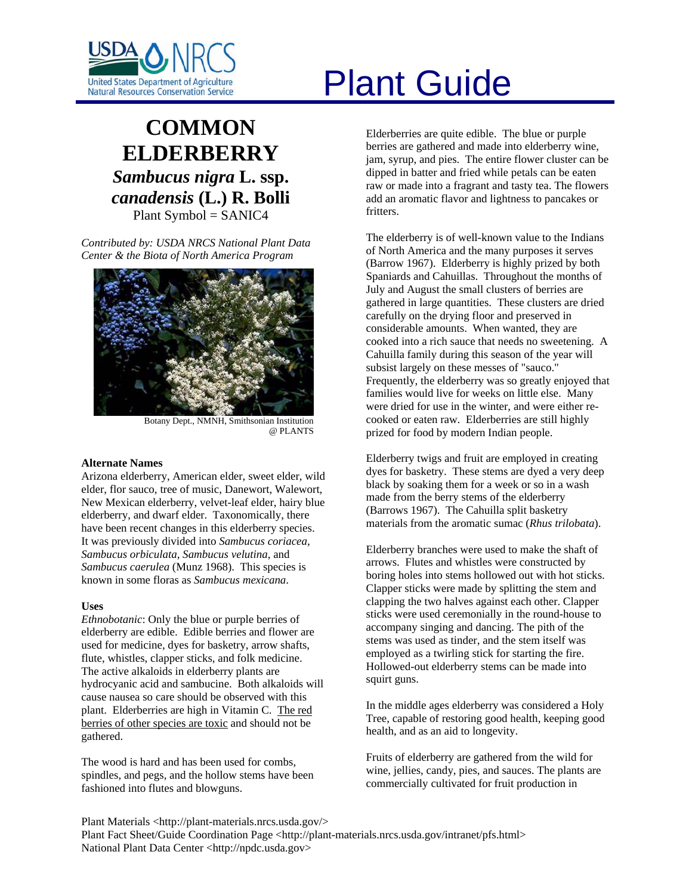

# **COMMON ELDERBERRY** *Sambucus nigra* **L. ssp.**  *canadensis* **(L.) R. Bolli**  Plant Symbol = SANIC4

*Contributed by: USDA NRCS National Plant Data Center & the Biota of North America Program* 



Botany Dept., NMNH, Smithsonian Institution @ PLANTS

# **Alternate Names**

Arizona elderberry, American elder, sweet elder, wild elder, flor sauco, tree of music, Danewort, Walewort, New Mexican elderberry, velvet-leaf elder, hairy blue elderberry, and dwarf elder. Taxonomically, there have been recent changes in this elderberry species. It was previously divided into *Sambucus coriacea*, *Sambucus orbiculata*, *Sambucus velutina*, and *Sambucus caerulea* (Munz 1968). This species is known in some floras as *Sambucus mexicana*.

# **Uses**

*Ethnobotanic*: Only the blue or purple berries of elderberry are edible. Edible berries and flower are used for medicine, dyes for basketry, arrow shafts, flute, whistles, clapper sticks, and folk medicine. The active alkaloids in elderberry plants are hydrocyanic acid and sambucine. Both alkaloids will cause nausea so care should be observed with this plant. Elderberries are high in Vitamin C. The red berries of other species are toxic and should not be gathered.

The wood is hard and has been used for combs, spindles, and pegs, and the hollow stems have been fashioned into flutes and blowguns.

# United States Department of Agriculture<br>Natural Resources Conservation Service

Elderberries are quite edible. The blue or purple berries are gathered and made into elderberry wine, jam, syrup, and pies. The entire flower cluster can be dipped in batter and fried while petals can be eaten raw or made into a fragrant and tasty tea. The flowers add an aromatic flavor and lightness to pancakes or fritters.

The elderberry is of well-known value to the Indians of North America and the many purposes it serves (Barrow 1967). Elderberry is highly prized by both Spaniards and Cahuillas. Throughout the months of July and August the small clusters of berries are gathered in large quantities. These clusters are dried carefully on the drying floor and preserved in considerable amounts. When wanted, they are cooked into a rich sauce that needs no sweetening. A Cahuilla family during this season of the year will subsist largely on these messes of "sauco." Frequently, the elderberry was so greatly enjoyed that families would live for weeks on little else. Many were dried for use in the winter, and were either recooked or eaten raw. Elderberries are still highly prized for food by modern Indian people.

Elderberry twigs and fruit are employed in creating dyes for basketry. These stems are dyed a very deep black by soaking them for a week or so in a wash made from the berry stems of the elderberry (Barrows 1967). The Cahuilla split basketry materials from the aromatic sumac (*Rhus trilobata*).

Elderberry branches were used to make the shaft of arrows. Flutes and whistles were constructed by boring holes into stems hollowed out with hot sticks. Clapper sticks were made by splitting the stem and clapping the two halves against each other. Clapper sticks were used ceremonially in the round-house to accompany singing and dancing. The pith of the stems was used as tinder, and the stem itself was employed as a twirling stick for starting the fire. Hollowed-out elderberry stems can be made into squirt guns.

In the middle ages elderberry was considered a Holy Tree, capable of restoring good health, keeping good health, and as an aid to longevity.

Fruits of elderberry are gathered from the wild for wine, jellies, candy, pies, and sauces. The plants are commercially cultivated for fruit production in

Plant Materials <http://plant-materials.nrcs.usda.gov/> Plant Fact Sheet/Guide Coordination Page <http://plant-materials.nrcs.usda.gov/intranet/pfs.html> National Plant Data Center <http://npdc.usda.gov>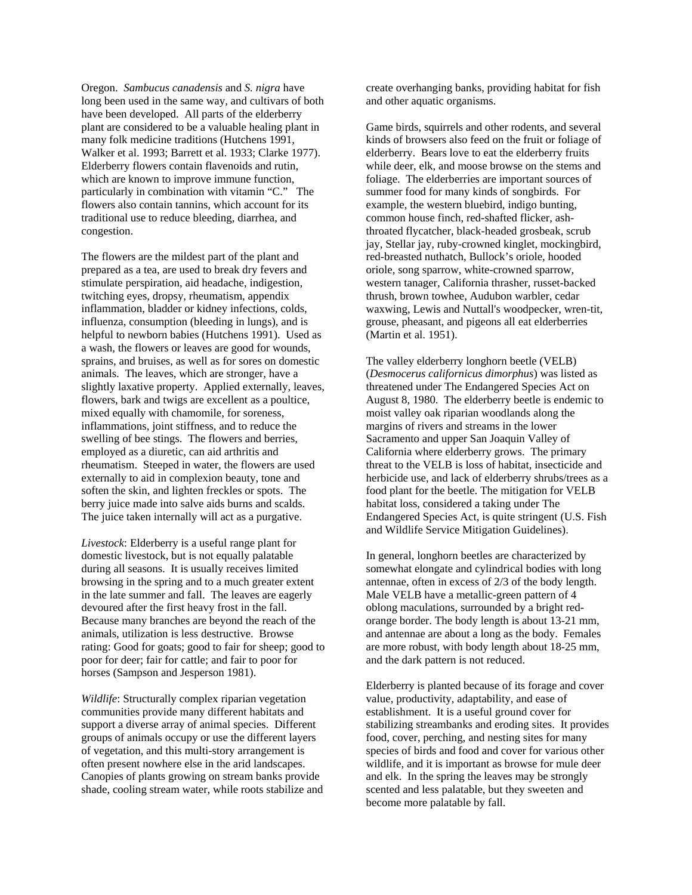Oregon. *Sambucus canadensis* and *S. nigra* have long been used in the same way, and cultivars of both have been developed. All parts of the elderberry plant are considered to be a valuable healing plant in many folk medicine traditions (Hutchens 1991, Walker et al. 1993; Barrett et al. 1933; Clarke 1977). Elderberry flowers contain flavenoids and rutin, which are known to improve immune function, particularly in combination with vitamin "C." The flowers also contain tannins, which account for its traditional use to reduce bleeding, diarrhea, and congestion.

The flowers are the mildest part of the plant and prepared as a tea, are used to break dry fevers and stimulate perspiration, aid headache, indigestion, twitching eyes, dropsy, rheumatism, appendix inflammation, bladder or kidney infections, colds, influenza, consumption (bleeding in lungs), and is helpful to newborn babies (Hutchens 1991). Used as a wash, the flowers or leaves are good for wounds, sprains, and bruises, as well as for sores on domestic animals. The leaves, which are stronger, have a slightly laxative property. Applied externally, leaves, flowers, bark and twigs are excellent as a poultice, mixed equally with chamomile, for soreness, inflammations, joint stiffness, and to reduce the swelling of bee stings. The flowers and berries, employed as a diuretic, can aid arthritis and rheumatism. Steeped in water, the flowers are used externally to aid in complexion beauty, tone and soften the skin, and lighten freckles or spots. The berry juice made into salve aids burns and scalds. The juice taken internally will act as a purgative.

*Livestock*: Elderberry is a useful range plant for domestic livestock, but is not equally palatable during all seasons. It is usually receives limited browsing in the spring and to a much greater extent in the late summer and fall. The leaves are eagerly devoured after the first heavy frost in the fall. Because many branches are beyond the reach of the animals, utilization is less destructive. Browse rating: Good for goats; good to fair for sheep; good to poor for deer; fair for cattle; and fair to poor for horses (Sampson and Jesperson 1981).

*Wildlife*: Structurally complex riparian vegetation communities provide many different habitats and support a diverse array of animal species. Different groups of animals occupy or use the different layers of vegetation, and this multi-story arrangement is often present nowhere else in the arid landscapes. Canopies of plants growing on stream banks provide shade, cooling stream water, while roots stabilize and create overhanging banks, providing habitat for fish and other aquatic organisms.

Game birds, squirrels and other rodents, and several kinds of browsers also feed on the fruit or foliage of elderberry. Bears love to eat the elderberry fruits while deer, elk, and moose browse on the stems and foliage. The elderberries are important sources of summer food for many kinds of songbirds. For example, the western bluebird, indigo bunting, common house finch, red-shafted flicker, ashthroated flycatcher, black-headed grosbeak, scrub jay, Stellar jay, ruby-crowned kinglet, mockingbird, red-breasted nuthatch, Bullock's oriole, hooded oriole, song sparrow, white-crowned sparrow, western tanager, California thrasher, russet-backed thrush, brown towhee, Audubon warbler, cedar waxwing, Lewis and Nuttall's woodpecker, wren-tit, grouse, pheasant, and pigeons all eat elderberries (Martin et al. 1951).

The valley elderberry longhorn beetle (VELB) (*Desmocerus californicus dimorphus*) was listed as threatened under The Endangered Species Act on August 8, 1980. The elderberry beetle is endemic to moist valley oak riparian woodlands along the margins of rivers and streams in the lower Sacramento and upper San Joaquin Valley of California where elderberry grows. The primary threat to the VELB is loss of habitat, insecticide and herbicide use, and lack of elderberry shrubs/trees as a food plant for the beetle. The mitigation for VELB habitat loss, considered a taking under The Endangered Species Act, is quite stringent (U.S. Fish and Wildlife Service Mitigation Guidelines).

In general, longhorn beetles are characterized by somewhat elongate and cylindrical bodies with long antennae, often in excess of 2/3 of the body length. Male VELB have a metallic-green pattern of 4 oblong maculations, surrounded by a bright redorange border. The body length is about 13-21 mm, and antennae are about a long as the body. Females are more robust, with body length about 18-25 mm, and the dark pattern is not reduced.

Elderberry is planted because of its forage and cover value, productivity, adaptability, and ease of establishment. It is a useful ground cover for stabilizing streambanks and eroding sites. It provides food, cover, perching, and nesting sites for many species of birds and food and cover for various other wildlife, and it is important as browse for mule deer and elk. In the spring the leaves may be strongly scented and less palatable, but they sweeten and become more palatable by fall.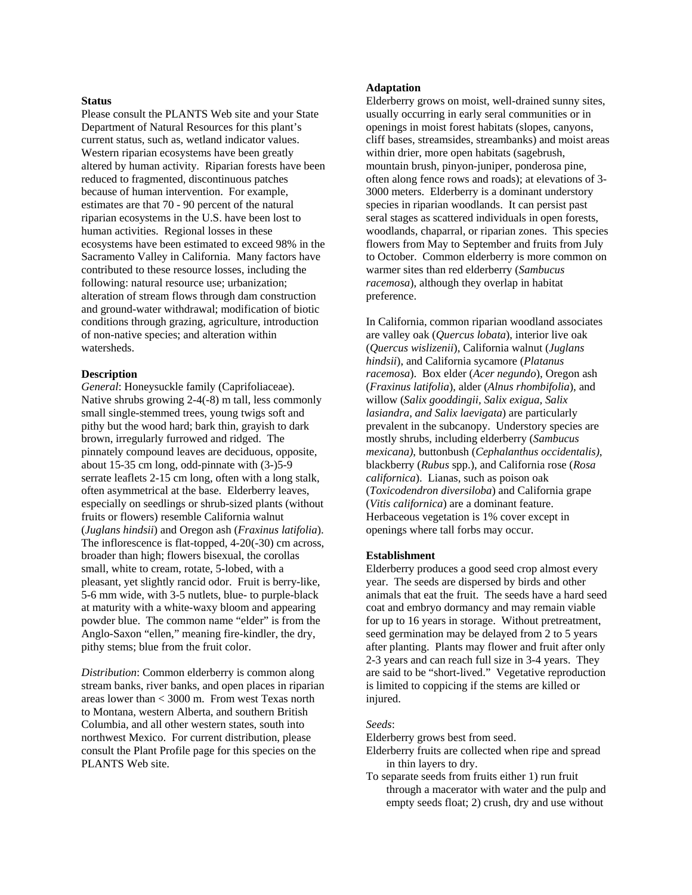#### **Status**

Please consult the PLANTS Web site and your State Department of Natural Resources for this plant's current status, such as, wetland indicator values. Western riparian ecosystems have been greatly altered by human activity. Riparian forests have been reduced to fragmented, discontinuous patches because of human intervention. For example, estimates are that 70 - 90 percent of the natural riparian ecosystems in the U.S. have been lost to human activities. Regional losses in these ecosystems have been estimated to exceed 98% in the Sacramento Valley in California. Many factors have contributed to these resource losses, including the following: natural resource use; urbanization; alteration of stream flows through dam construction and ground-water withdrawal; modification of biotic conditions through grazing, agriculture, introduction of non-native species; and alteration within watersheds.

# **Description**

*General*: Honeysuckle family (Caprifoliaceae). Native shrubs growing 2-4(-8) m tall, less commonly small single-stemmed trees, young twigs soft and pithy but the wood hard; bark thin, grayish to dark brown, irregularly furrowed and ridged. The pinnately compound leaves are deciduous, opposite, about 15-35 cm long, odd-pinnate with (3-)5-9 serrate leaflets 2-15 cm long, often with a long stalk, often asymmetrical at the base. Elderberry leaves, especially on seedlings or shrub-sized plants (without fruits or flowers) resemble California walnut (*Juglans hindsii*) and Oregon ash (*Fraxinus latifolia*). The inflorescence is flat-topped, 4-20(-30) cm across, broader than high; flowers bisexual, the corollas small, white to cream, rotate, 5-lobed, with a pleasant, yet slightly rancid odor. Fruit is berry-like, 5-6 mm wide, with 3-5 nutlets, blue- to purple-black at maturity with a white-waxy bloom and appearing powder blue. The common name "elder" is from the Anglo-Saxon "ellen," meaning fire-kindler, the dry, pithy stems; blue from the fruit color.

*Distribution*: Common elderberry is common along stream banks, river banks, and open places in riparian areas lower than < 3000 m. From west Texas north to Montana, western Alberta, and southern British Columbia, and all other western states, south into northwest Mexico. For current distribution, please consult the Plant Profile page for this species on the PLANTS Web site.

# **Adaptation**

Elderberry grows on moist, well-drained sunny sites, usually occurring in early seral communities or in openings in moist forest habitats (slopes, canyons, cliff bases, streamsides, streambanks) and moist areas within drier, more open habitats (sagebrush, mountain brush, pinyon-juniper, ponderosa pine, often along fence rows and roads); at elevations of 3- 3000 meters. Elderberry is a dominant understory species in riparian woodlands. It can persist past seral stages as scattered individuals in open forests, woodlands, chaparral, or riparian zones. This species flowers from May to September and fruits from July to October. Common elderberry is more common on warmer sites than red elderberry (*Sambucus racemosa*), although they overlap in habitat preference.

In California, common riparian woodland associates are valley oak (*Quercus lobata*), interior live oak (*Quercus wislizenii*), California walnut (*Juglans hindsii*), and California sycamore (*Platanus racemosa*). Box elder (*Acer negundo*), Oregon ash (*Fraxinus latifolia*), alder (*Alnus rhombifolia*), and willow (*Salix gooddingii, Salix exigua, Salix lasiandra, and Salix laevigata*) are particularly prevalent in the subcanopy. Understory species are mostly shrubs, including elderberry (*Sambucus mexicana)*, buttonbush (*Cephalanthus occidentalis)*, blackberry (*Rubus* spp.), and California rose (*Rosa californica*). Lianas, such as poison oak (*Toxicodendron diversiloba*) and California grape (*Vitis californica*) are a dominant feature. Herbaceous vegetation is 1% cover except in openings where tall forbs may occur.

#### **Establishment**

Elderberry produces a good seed crop almost every year. The seeds are dispersed by birds and other animals that eat the fruit. The seeds have a hard seed coat and embryo dormancy and may remain viable for up to 16 years in storage. Without pretreatment, seed germination may be delayed from 2 to 5 years after planting. Plants may flower and fruit after only 2-3 years and can reach full size in 3-4 years. They are said to be "short-lived." Vegetative reproduction is limited to coppicing if the stems are killed or injured.

#### *Seeds*:

Elderberry grows best from seed.

- Elderberry fruits are collected when ripe and spread in thin layers to dry.
- To separate seeds from fruits either 1) run fruit through a macerator with water and the pulp and empty seeds float; 2) crush, dry and use without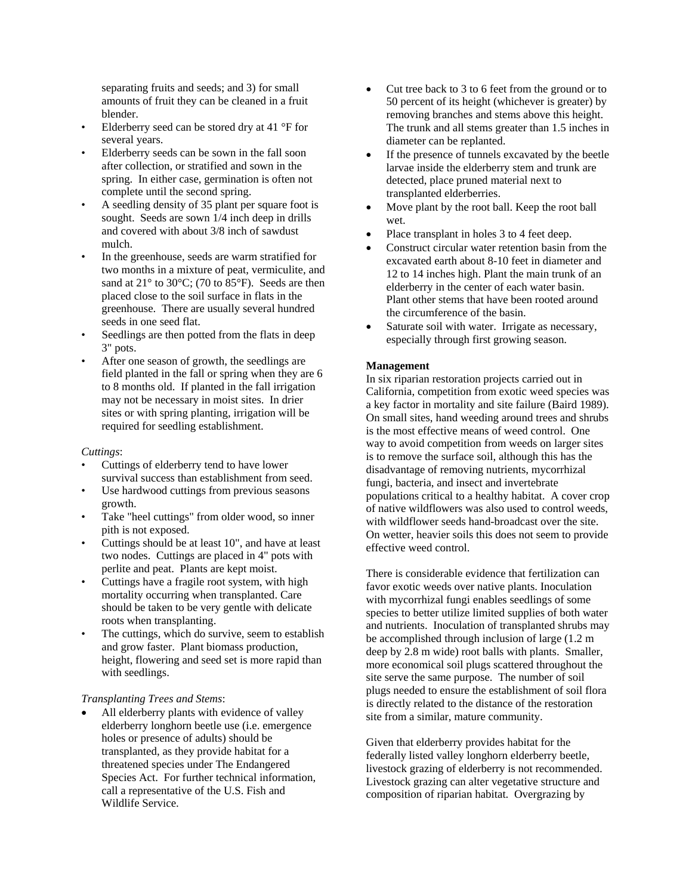separating fruits and seeds; and 3) for small amounts of fruit they can be cleaned in a fruit blender.

- Elderberry seed can be stored dry at  $41^{\circ}$ F for several years.
- Elderberry seeds can be sown in the fall soon after collection, or stratified and sown in the spring. In either case, germination is often not complete until the second spring.
- A seedling density of 35 plant per square foot is sought. Seeds are sown 1/4 inch deep in drills and covered with about 3/8 inch of sawdust mulch.
- In the greenhouse, seeds are warm stratified for two months in a mixture of peat, vermiculite, and sand at  $21^{\circ}$  to 30 $^{\circ}$ C; (70 to 85 $^{\circ}$ F). Seeds are then placed close to the soil surface in flats in the greenhouse. There are usually several hundred seeds in one seed flat.
- Seedlings are then potted from the flats in deep 3" pots.
- After one season of growth, the seedlings are field planted in the fall or spring when they are 6 to 8 months old. If planted in the fall irrigation may not be necessary in moist sites. In drier sites or with spring planting, irrigation will be required for seedling establishment.

#### *Cuttings*:

- Cuttings of elderberry tend to have lower survival success than establishment from seed.
- Use hardwood cuttings from previous seasons growth.
- Take "heel cuttings" from older wood, so inner pith is not exposed.
- Cuttings should be at least 10", and have at least two nodes. Cuttings are placed in 4" pots with perlite and peat. Plants are kept moist.
- Cuttings have a fragile root system, with high mortality occurring when transplanted. Care should be taken to be very gentle with delicate roots when transplanting.
- The cuttings, which do survive, seem to establish and grow faster. Plant biomass production, height, flowering and seed set is more rapid than with seedlings.

# *Transplanting Trees and Stems*:

All elderberry plants with evidence of valley elderberry longhorn beetle use (i.e. emergence holes or presence of adults) should be transplanted, as they provide habitat for a threatened species under The Endangered Species Act. For further technical information, call a representative of the U.S. Fish and Wildlife Service.

- Cut tree back to 3 to 6 feet from the ground or to 50 percent of its height (whichever is greater) by removing branches and stems above this height. The trunk and all stems greater than 1.5 inches in diameter can be replanted.
- If the presence of tunnels excavated by the beetle larvae inside the elderberry stem and trunk are detected, place pruned material next to transplanted elderberries.
- Move plant by the root ball. Keep the root ball wet.
- Place transplant in holes 3 to 4 feet deep.
- Construct circular water retention basin from the excavated earth about 8-10 feet in diameter and 12 to 14 inches high. Plant the main trunk of an elderberry in the center of each water basin. Plant other stems that have been rooted around the circumference of the basin.
- Saturate soil with water. Irrigate as necessary, especially through first growing season.

# **Management**

In six riparian restoration projects carried out in California, competition from exotic weed species was a key factor in mortality and site failure (Baird 1989). On small sites, hand weeding around trees and shrubs is the most effective means of weed control. One way to avoid competition from weeds on larger sites is to remove the surface soil, although this has the disadvantage of removing nutrients, mycorrhizal fungi, bacteria, and insect and invertebrate populations critical to a healthy habitat. A cover crop of native wildflowers was also used to control weeds, with wildflower seeds hand-broadcast over the site. On wetter, heavier soils this does not seem to provide effective weed control.

There is considerable evidence that fertilization can favor exotic weeds over native plants. Inoculation with mycorrhizal fungi enables seedlings of some species to better utilize limited supplies of both water and nutrients. Inoculation of transplanted shrubs may be accomplished through inclusion of large (1.2 m deep by 2.8 m wide) root balls with plants. Smaller, more economical soil plugs scattered throughout the site serve the same purpose. The number of soil plugs needed to ensure the establishment of soil flora is directly related to the distance of the restoration site from a similar, mature community.

Given that elderberry provides habitat for the federally listed valley longhorn elderberry beetle, livestock grazing of elderberry is not recommended. Livestock grazing can alter vegetative structure and composition of riparian habitat. Overgrazing by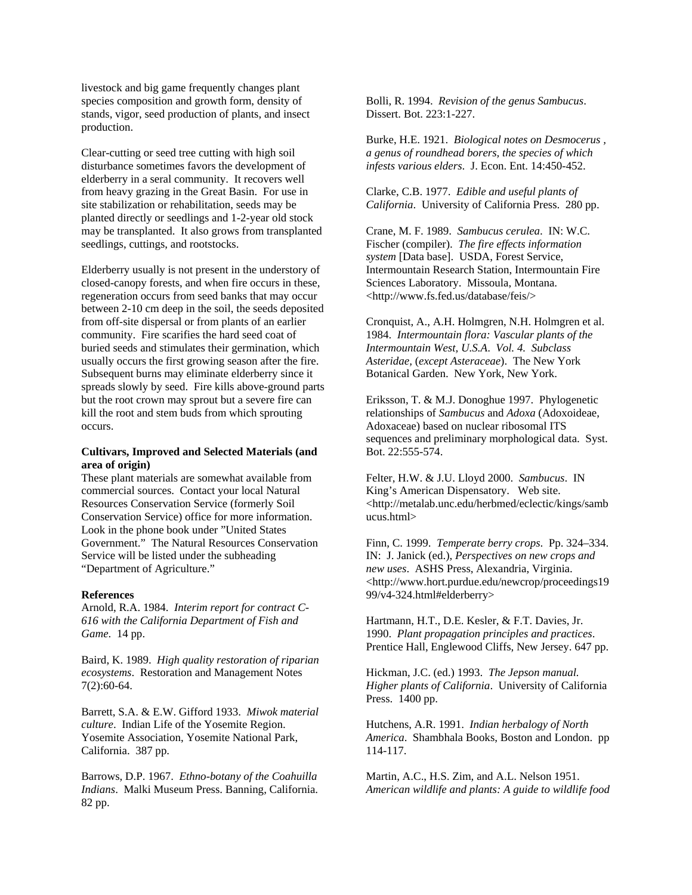livestock and big game frequently changes plant species composition and growth form, density of stands, vigor, seed production of plants, and insect production.

Clear-cutting or seed tree cutting with high soil disturbance sometimes favors the development of elderberry in a seral community. It recovers well from heavy grazing in the Great Basin. For use in site stabilization or rehabilitation, seeds may be planted directly or seedlings and 1-2-year old stock may be transplanted. It also grows from transplanted seedlings, cuttings, and rootstocks.

Elderberry usually is not present in the understory of closed-canopy forests, and when fire occurs in these, regeneration occurs from seed banks that may occur between 2-10 cm deep in the soil, the seeds deposited from off-site dispersal or from plants of an earlier community. Fire scarifies the hard seed coat of buried seeds and stimulates their germination, which usually occurs the first growing season after the fire. Subsequent burns may eliminate elderberry since it spreads slowly by seed. Fire kills above-ground parts but the root crown may sprout but a severe fire can kill the root and stem buds from which sprouting occurs.

# **Cultivars, Improved and Selected Materials (and area of origin)**

These plant materials are somewhat available from commercial sources. Contact your local Natural Resources Conservation Service (formerly Soil Conservation Service) office for more information. Look in the phone book under "United States Government." The Natural Resources Conservation Service will be listed under the subheading "Department of Agriculture."

#### **References**

Arnold, R.A. 1984. *Interim report for contract C-616 with the California Department of Fish and Game*. 14 pp.

Baird, K. 1989. *High quality restoration of riparian ecosystems*. Restoration and Management Notes 7(2):60-64.

Barrett, S.A. & E.W. Gifford 1933. *Miwok material culture*. Indian Life of the Yosemite Region. Yosemite Association, Yosemite National Park, California. 387 pp.

Barrows, D.P. 1967. *Ethno-botany of the Coahuilla Indians*. Malki Museum Press. Banning, California. 82 pp.

Bolli, R. 1994. *Revision of the genus Sambucus*. Dissert. Bot. 223:1-227.

Burke, H.E. 1921. *Biological notes on Desmocerus , a genus of roundhead borers, the species of which infests various elders*. J. Econ. Ent. 14:450-452.

Clarke, C.B. 1977. *Edible and useful plants of California*. University of California Press. 280 pp.

Crane, M. F. 1989. *Sambucus cerulea*. IN: W.C. Fischer (compiler). *The fire effects information system* [Data base]. USDA, Forest Service, Intermountain Research Station, Intermountain Fire Sciences Laboratory. Missoula, Montana. <http://www.fs.fed.us/database/feis/>

Cronquist, A., A.H. Holmgren, N.H. Holmgren et al. 1984. *Intermountain flora: Vascular plants of the Intermountain West, U.S.A*. *Vol. 4. Subclass Asteridae,* (*except Asteraceae*). The New York Botanical Garden. New York, New York.

Eriksson, T. & M.J. Donoghue 1997. Phylogenetic relationships of *Sambucus* and *Adoxa* (Adoxoideae, Adoxaceae) based on nuclear ribosomal ITS sequences and preliminary morphological data. Syst. Bot. 22:555-574.

Felter, H.W. & J.U. Lloyd 2000. *Sambucus*. IN King's American Dispensatory. Web site. <http://metalab.unc.edu/herbmed/eclectic/kings/samb ucus.html>

Finn, C. 1999. *Temperate berry crops*. Pp. 324–334. IN: J. Janick (ed.), *Perspectives on new crops and new uses*. ASHS Press, Alexandria, Virginia. <http://www.hort.purdue.edu/newcrop/proceedings19 99/v4-324.html#elderberry>

Hartmann, H.T., D.E. Kesler, & F.T. Davies, Jr. 1990. *Plant propagation principles and practices*. Prentice Hall, Englewood Cliffs, New Jersey. 647 pp.

Hickman, J.C. (ed.) 1993. *The Jepson manual. Higher plants of California*. University of California Press. 1400 pp.

Hutchens, A.R. 1991. *Indian herbalogy of North America*. Shambhala Books, Boston and London. pp 114-117.

Martin, A.C., H.S. Zim, and A.L. Nelson 1951. *American wildlife and plants: A guide to wildlife food*